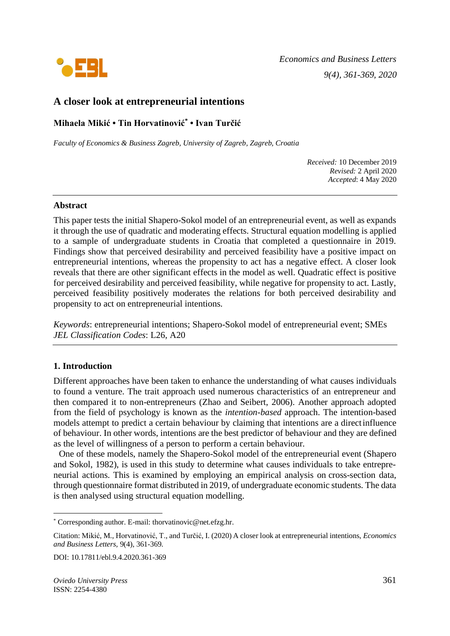

# **A closer look at entrepreneurial intentions**

**Mihaela Mikić • Tin Horvatinović\* • Ivan Turčić**

*Faculty of Economics & Business Zagreb, University of Zagreb, Zagreb, Croatia*

*Received:* 10 December 2019 *Revised:* 2 April 2020 *Accepted*: 4 May 2020

#### **Abstract**

This paper tests the initial Shapero-Sokol model of an entrepreneurial event, as well as expands it through the use of quadratic and moderating effects. Structural equation modelling is applied to a sample of undergraduate students in Croatia that completed a questionnaire in 2019. Findings show that perceived desirability and perceived feasibility have a positive impact on entrepreneurial intentions, whereas the propensity to act has a negative effect. A closer look reveals that there are other significant effects in the model as well. Quadratic effect is positive for perceived desirability and perceived feasibility, while negative for propensity to act. Lastly, perceived feasibility positively moderates the relations for both perceived desirability and propensity to act on entrepreneurial intentions.

*Keywords*: entrepreneurial intentions; Shapero-Sokol model of entrepreneurial event; SMEs *JEL Classification Codes*: L26, A20

### **1. Introduction**

Different approaches have been taken to enhance the understanding of what causes individuals to found a venture. The trait approach used numerous characteristics of an entrepreneur and then compared it to non-entrepreneurs (Zhao and Seibert, 2006). Another approach adopted from the field of psychology is known as the *intention-based* approach. The intention-based models attempt to predict a certain behaviour by claiming that intentions are a directinfluence of behaviour. In other words, intentions are the best predictor of behaviour and they are defined as the level of willingness of a person to perform a certain behaviour.

One of these models, namely the Shapero-Sokol model of the entrepreneurial event (Shapero and Sokol, 1982), is used in this study to determine what causes individuals to take entrepreneurial actions. This is examined by employing an empirical analysis on cross-section data, through questionnaire format distributed in 2019, of undergraduate economic students. The data is then analysed using structural equation modelling.

DOI: 10.17811/ebl.9.4.2020.361-369

<sup>\*</sup> Corresponding author. E-mail: thorvatinovic@net.efzg.hr.

Citation: Mikić, M., Horvatinović, T., and Turčić, I. (2020) A closer look at entrepreneurial intentions, *Economics and Business Letters,* 9(4), 361-369.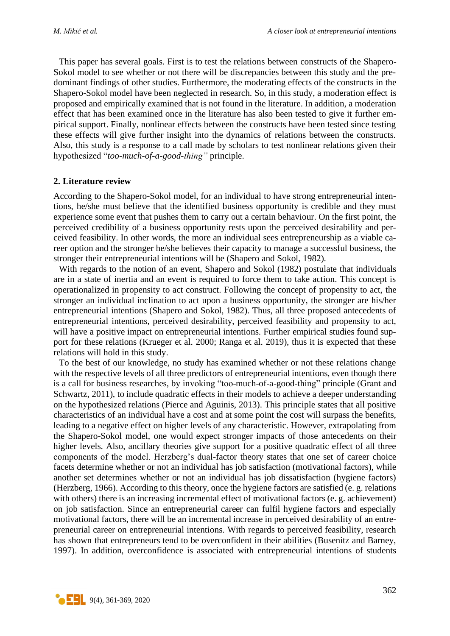This paper has several goals. First is to test the relations between constructs of the Shapero-Sokol model to see whether or not there will be discrepancies between this study and the predominant findings of other studies. Furthermore, the moderating effects of the constructs in the Shapero-Sokol model have been neglected in research. So, in this study, a moderation effect is proposed and empirically examined that is not found in the literature. In addition, a moderation effect that has been examined once in the literature has also been tested to give it further empirical support. Finally, nonlinear effects between the constructs have been tested since testing these effects will give further insight into the dynamics of relations between the constructs. Also, this study is a response to a call made by scholars to test nonlinear relations given their hypothesized "*too-much-of-a-good-thing"* principle.

#### **2. Literature review**

According to the Shapero-Sokol model, for an individual to have strong entrepreneurial intentions, he/she must believe that the identified business opportunity is credible and they must experience some event that pushes them to carry out a certain behaviour. On the first point, the perceived credibility of a business opportunity rests upon the perceived desirability and perceived feasibility. In other words, the more an individual sees entrepreneurship as a viable career option and the stronger he/she believes their capacity to manage a successful business, the stronger their entrepreneurial intentions will be (Shapero and Sokol, 1982).

With regards to the notion of an event, Shapero and Sokol (1982) postulate that individuals are in a state of inertia and an event is required to force them to take action. This concept is operationalized in propensity to act construct. Following the concept of propensity to act, the stronger an individual inclination to act upon a business opportunity, the stronger are his/her entrepreneurial intentions (Shapero and Sokol, 1982). Thus, all three proposed antecedents of entrepreneurial intentions, perceived desirability, perceived feasibility and propensity to act, will have a positive impact on entrepreneurial intentions. Further empirical studies found support for these relations (Krueger et al. 2000; Ranga et al. 2019), thus it is expected that these relations will hold in this study.

To the best of our knowledge, no study has examined whether or not these relations change with the respective levels of all three predictors of entrepreneurial intentions, even though there is a call for business researches, by invoking "too-much-of-a-good-thing" principle (Grant and Schwartz, 2011), to include quadratic effects in their models to achieve a deeper understanding on the hypothesized relations (Pierce and Aguinis, 2013). This principle states that all positive characteristics of an individual have a cost and at some point the cost will surpass the benefits, leading to a negative effect on higher levels of any characteristic. However, extrapolating from the Shapero-Sokol model, one would expect stronger impacts of those antecedents on their higher levels. Also, ancillary theories give support for a positive quadratic effect of all three components of the model. Herzberg's dual-factor theory states that one set of career choice facets determine whether or not an individual has job satisfaction (motivational factors), while another set determines whether or not an individual has job dissatisfaction (hygiene factors) (Herzberg, 1966). According to this theory, once the hygiene factors are satisfied (e. g. relations with others) there is an increasing incremental effect of motivational factors (e. g. achievement) on job satisfaction. Since an entrepreneurial career can fulfil hygiene factors and especially motivational factors, there will be an incremental increase in perceived desirability of an entrepreneurial career on entrepreneurial intentions. With regards to perceived feasibility, research has shown that entrepreneurs tend to be overconfident in their abilities (Busenitz and Barney, 1997). In addition, overconfidence is associated with entrepreneurial intentions of students

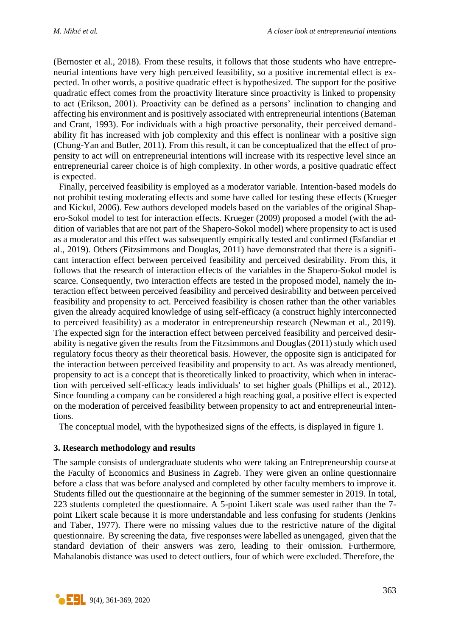(Bernoster et al., 2018). From these results, it follows that those students who have entrepreneurial intentions have very high perceived feasibility, so a positive incremental effect is expected. In other words, a positive quadratic effect is hypothesized. The support for the positive quadratic effect comes from the proactivity literature since proactivity is linked to propensity to act (Erikson, 2001). Proactivity can be defined as a persons' inclination to changing and affecting his environment and is positively associated with entrepreneurial intentions (Bateman and Crant, 1993). For individuals with a high proactive personality, their perceived demandability fit has increased with job complexity and this effect is nonlinear with a positive sign (Chung-Yan and Butler, 2011). From this result, it can be conceptualized that the effect of propensity to act will on entrepreneurial intentions will increase with its respective level since an entrepreneurial career choice is of high complexity. In other words, a positive quadratic effect is expected.

Finally, perceived feasibility is employed as a moderator variable. Intention-based models do not prohibit testing moderating effects and some have called for testing these effects (Krueger and Kickul, 2006). Few authors developed models based on the variables of the original Shapero-Sokol model to test for interaction effects. Krueger (2009) proposed a model (with the addition of variables that are not part of the Shapero-Sokol model) where propensity to act is used as a moderator and this effect was subsequently empirically tested and confirmed (Esfandiar et al., 2019). Others (Fitzsimmons and Douglas, 2011) have demonstrated that there is a significant interaction effect between perceived feasibility and perceived desirability. From this, it follows that the research of interaction effects of the variables in the Shapero-Sokol model is scarce. Consequently, two interaction effects are tested in the proposed model, namely the interaction effect between perceived feasibility and perceived desirability and between perceived feasibility and propensity to act. Perceived feasibility is chosen rather than the other variables given the already acquired knowledge of using self-efficacy (a construct highly interconnected to perceived feasibility) as a moderator in entrepreneurship research (Newman et al., 2019). The expected sign for the interaction effect between perceived feasibility and perceived desirability is negative given the results from the Fitzsimmons and Douglas (2011) study which used regulatory focus theory as their theoretical basis. However, the opposite sign is anticipated for the interaction between perceived feasibility and propensity to act. As was already mentioned, propensity to act is a concept that is theoretically linked to proactivity, which when in interaction with perceived self-efficacy leads individuals' to set higher goals (Phillips et al., 2012). Since founding a company can be considered a high reaching goal, a positive effect is expected on the moderation of perceived feasibility between propensity to act and entrepreneurial intentions.

The conceptual model, with the hypothesized signs of the effects, is displayed in figure 1.

### **3. Research methodology and results**

The sample consists of undergraduate students who were taking an Entrepreneurship course at the Faculty of Economics and Business in Zagreb. They were given an online questionnaire before a class that was before analysed and completed by other faculty members to improve it. Students filled out the questionnaire at the beginning of the summer semester in 2019. In total, 223 students completed the questionnaire. A 5-point Likert scale was used rather than the 7 point Likert scale because it is more understandable and less confusing for students (Jenkins and Taber, 1977). There were no missing values due to the restrictive nature of the digital questionnaire. By screening the data, five responses were labelled as unengaged, given that the standard deviation of their answers was zero, leading to their omission. Furthermore, Mahalanobis distance was used to detect outliers, four of which were excluded. Therefore, the

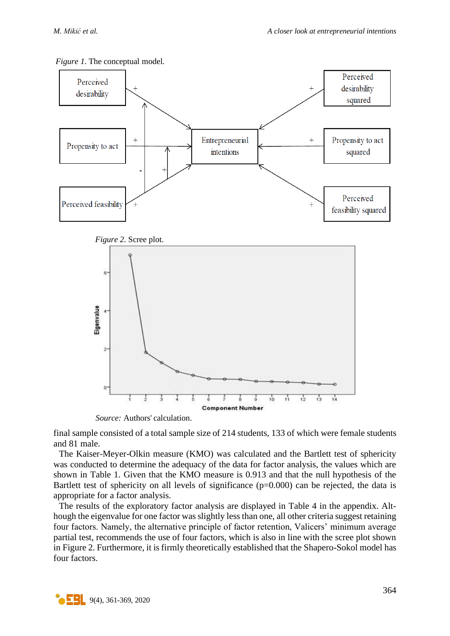



final sample consisted of a total sample size of 214 students, 133 of which were female students and 81 male.

**Component Number** 

Š.

 $10$ 

ń

 $12$ 

 $13$ 

 $14$ 

The Kaiser-Meyer-Olkin measure (KMO) was calculated and the Bartlett test of sphericity was conducted to determine the adequacy of the data for factor analysis, the values which are shown in Table 1. Given that the KMO measure is 0.913 and that the null hypothesis of the Bartlett test of sphericity on all levels of significance  $(p=0.000)$  can be rejected, the data is appropriate for a factor analysis.

The results of the exploratory factor analysis are displayed in Table 4 in the appendix. Although the eigenvalue for one factor was slightly less than one, all other criteria suggest retaining four factors. Namely, the alternative principle of factor retention, Valicers' minimum average partial test, recommends the use of four factors, which is also in line with the scree plot shown in Figure 2. Furthermore, it is firmly theoretically established that the Shapero-Sokol model has four factors.



 *Source:* Authors' calculation.

ź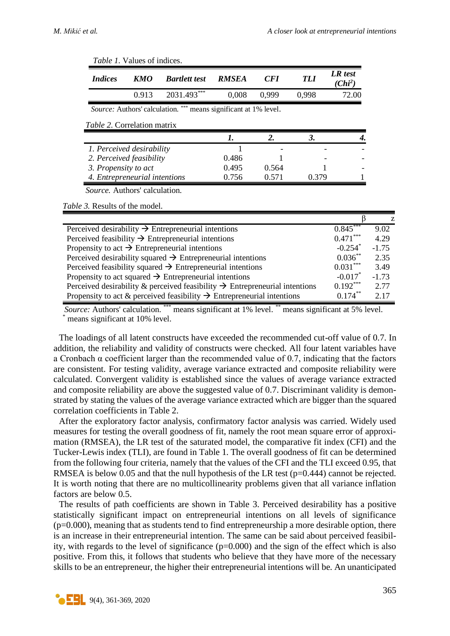| <i>Indices</i>       | <b>KMO</b>                           | <b>Bartlett test</b> | <b>RMSEA</b>                   | <b>CFI</b> | <i>TLI</i> | LR test<br>(Chi <sup>2</sup> ) |  |
|----------------------|--------------------------------------|----------------------|--------------------------------|------------|------------|--------------------------------|--|
|                      | 0.913                                | 2031.493***          | 0,008                          | 0,999      | 0,998      | 72.00                          |  |
|                      | <i>Source:</i> Authors' calculation. | ***                  | means significant at 1% level. |            |            |                                |  |
|                      |                                      |                      |                                |            |            |                                |  |
|                      | <i>Table 2.</i> Correlation matrix   |                      |                                |            |            |                                |  |
|                      |                                      |                      |                                | 2.         | 3.         |                                |  |
|                      | 1. Perceived desirability            |                      |                                |            |            |                                |  |
|                      | 2. Perceived feasibility             |                      | 0.486                          |            |            |                                |  |
| 3. Propensity to act |                                      |                      | 0.495                          | 0.564      |            |                                |  |

*Table 1. Volues* of indices

*Table 3.* Results of the model.

|                                                                                         |                       | Z       |
|-----------------------------------------------------------------------------------------|-----------------------|---------|
| Perceived desirability $\rightarrow$ Entrepreneurial intentions                         | $0.845***$            | 9.02    |
| Perceived feasibility $\rightarrow$ Entrepreneurial intentions                          | $0.471***$            | 4.29    |
| Propensity to act $\rightarrow$ Entrepreneurial intentions                              | $-0.254$ <sup>*</sup> | $-1.75$ |
| Perceived desirability squared $\rightarrow$ Entrepreneurial intentions                 | $0.036^{**}$          | 2.35    |
| Perceived feasibility squared $\rightarrow$ Entrepreneurial intentions                  | $0.031***$            | 3.49    |
| Propensity to act squared $\rightarrow$ Entrepreneurial intentions                      | $-0.017$ <sup>*</sup> | $-1.73$ |
| Perceived desirability & perceived feasibility $\rightarrow$ Entrepreneurial intentions | $0.192***$            | 2.77    |
| Propensity to act & perceived feasibility $\rightarrow$ Entrepreneurial intentions      | $0.174***$            | 2.17    |

*Source:* Authors' calculation. \*\*\* means significant at 1% level. \*\* means significant at 5% level. means significant at 10% level.

The loadings of all latent constructs have exceeded the recommended cut-off value of 0.7. In addition, the reliability and validity of constructs were checked. All four latent variables have a Cronbach  $\alpha$  coefficient larger than the recommended value of 0.7, indicating that the factors are consistent. For testing validity, average variance extracted and composite reliability were calculated. Convergent validity is established since the values of average variance extracted and composite reliability are above the suggested value of 0.7. Discriminant validity is demonstrated by stating the values of the average variance extracted which are bigger than the squared correlation coefficients in Table 2.

After the exploratory factor analysis, confirmatory factor analysis was carried. Widely used measures for testing the overall goodness of fit, namely the root mean square error of approximation (RMSEA), the LR test of the saturated model, the comparative fit index (CFI) and the Tucker-Lewis index (TLI), are found in Table 1. The overall goodness of fit can be determined from the following four criteria, namely that the values of the CFI and the TLI exceed 0.95, that RMSEA is below 0.05 and that the null hypothesis of the LR test (p=0.444) cannot be rejected. It is worth noting that there are no multicollinearity problems given that all variance inflation factors are below 0.5.

The results of path coefficients are shown in Table 3. Perceived desirability has a positive statistically significant impact on entrepreneurial intentions on all levels of significance  $(p=0.000)$ , meaning that as students tend to find entrepreneurship a more desirable option, there is an increase in their entrepreneurial intention. The same can be said about perceived feasibility, with regards to the level of significance (p=0.000) and the sign of the effect which is also positive. From this, it follows that students who believe that they have more of the necessary skills to be an entrepreneur, the higher their entrepreneurial intentions will be. An unanticipated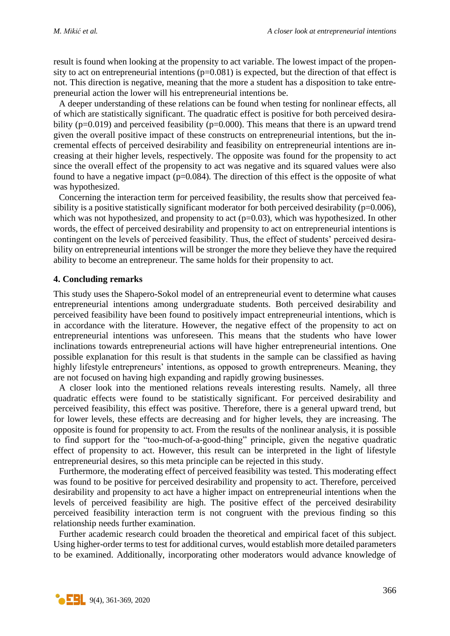result is found when looking at the propensity to act variable. The lowest impact of the propensity to act on entrepreneurial intentions  $(p=0.081)$  is expected, but the direction of that effect is not. This direction is negative, meaning that the more a student has a disposition to take entrepreneurial action the lower will his entrepreneurial intentions be.

A deeper understanding of these relations can be found when testing for nonlinear effects, all of which are statistically significant. The quadratic effect is positive for both perceived desirability ( $p=0.019$ ) and perceived feasibility ( $p=0.000$ ). This means that there is an upward trend given the overall positive impact of these constructs on entrepreneurial intentions, but the incremental effects of perceived desirability and feasibility on entrepreneurial intentions are increasing at their higher levels, respectively. The opposite was found for the propensity to act since the overall effect of the propensity to act was negative and its squared values were also found to have a negative impact ( $p=0.084$ ). The direction of this effect is the opposite of what was hypothesized.

Concerning the interaction term for perceived feasibility, the results show that perceived feasibility is a positive statistically significant moderator for both perceived desirability ( $p=0.006$ ), which was not hypothesized, and propensity to act  $(p=0.03)$ , which was hypothesized. In other words, the effect of perceived desirability and propensity to act on entrepreneurial intentions is contingent on the levels of perceived feasibility. Thus, the effect of students' perceived desirability on entrepreneurial intentions will be stronger the more they believe they have the required ability to become an entrepreneur. The same holds for their propensity to act.

#### **4. Concluding remarks**

This study uses the Shapero-Sokol model of an entrepreneurial event to determine what causes entrepreneurial intentions among undergraduate students. Both perceived desirability and perceived feasibility have been found to positively impact entrepreneurial intentions, which is in accordance with the literature. However, the negative effect of the propensity to act on entrepreneurial intentions was unforeseen. This means that the students who have lower inclinations towards entrepreneurial actions will have higher entrepreneurial intentions. One possible explanation for this result is that students in the sample can be classified as having highly lifestyle entrepreneurs' intentions, as opposed to growth entrepreneurs. Meaning, they are not focused on having high expanding and rapidly growing businesses.

A closer look into the mentioned relations reveals interesting results. Namely, all three quadratic effects were found to be statistically significant. For perceived desirability and perceived feasibility, this effect was positive. Therefore, there is a general upward trend, but for lower levels, these effects are decreasing and for higher levels, they are increasing. The opposite is found for propensity to act. From the results of the nonlinear analysis, it is possible to find support for the "too-much-of-a-good-thing" principle, given the negative quadratic effect of propensity to act. However, this result can be interpreted in the light of lifestyle entrepreneurial desires, so this meta principle can be rejected in this study.

Furthermore, the moderating effect of perceived feasibility was tested. This moderating effect was found to be positive for perceived desirability and propensity to act. Therefore, perceived desirability and propensity to act have a higher impact on entrepreneurial intentions when the levels of perceived feasibility are high. The positive effect of the perceived desirability perceived feasibility interaction term is not congruent with the previous finding so this relationship needs further examination.

Further academic research could broaden the theoretical and empirical facet of this subject. Using higher-order terms to test for additional curves, would establish more detailed parameters to be examined. Additionally, incorporating other moderators would advance knowledge of

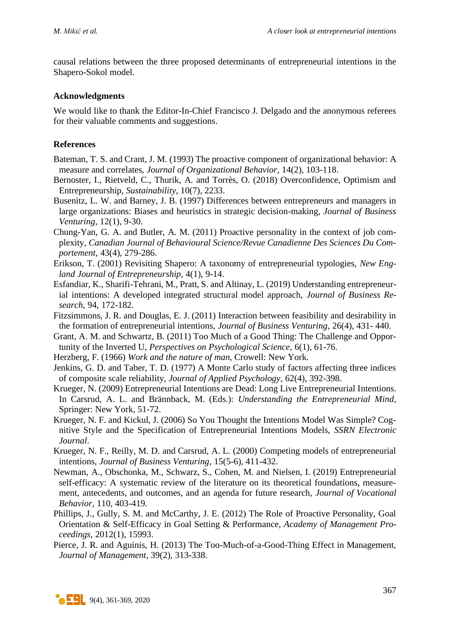causal relations between the three proposed determinants of entrepreneurial intentions in the Shapero-Sokol model.

### **Acknowledgments**

We would like to thank the Editor-In-Chief Francisco J. Delgado and the anonymous referees for their valuable comments and suggestions.

## **References**

- Bateman, T. S. and Crant, J. M. (1993) The proactive component of organizational behavior: A measure and correlates, *Journal of Organizational Behavior*, 14(2), 103-118.
- Bernoster, I., Rietveld, C., Thurik, A. and Torrès, O. (2018) Overconfidence, Optimism and Entrepreneurship, *Sustainability*, 10(7), 2233.
- Busenitz, L. W. and Barney, J. B. (1997) Differences between entrepreneurs and managers in large organizations: Biases and heuristics in strategic decision-making*, Journal of Business Venturing*, 12(1), 9-30.
- Chung-Yan, G. A. and Butler, A. M. (2011) Proactive personality in the context of job complexity, *Canadian Journal of Behavioural Science/Revue Canadienne Des Sciences Du Comportement*, 43(4), 279-286.
- Erikson, T. (2001) Revisiting Shapero: A taxonomy of entrepreneurial typologies, *New England Journal of Entrepreneurship*, 4(1), 9-14.
- Esfandiar, K., Sharifi-Tehrani, M., Pratt, S. and Altinay, L. (2019) Understanding entrepreneurial intentions: A developed integrated structural model approach, *Journal of Business Research*, 94, 172-182.
- Fitzsimmons, J. R. and Douglas, E. J. (2011) Interaction between feasibility and desirability in the formation of entrepreneurial intentions, *Journal of Business Venturing*, 26(4), 431- 440.
- Grant, A. M. and Schwartz, B. (2011) Too Much of a Good Thing: The Challenge and Opportunity of the Inverted U, *Perspectives on Psychological Science*, 6(1), 61-76.
- Herzberg, F. (1966) *Work and the nature of man*, Crowell: New York.
- Jenkins, G. D. and Taber, T. D. (1977) A Monte Carlo study of factors affecting three indices of composite scale reliability, *Journal of Applied Psychology*, 62(4), 392-398.
- Krueger, N. (2009) Entrepreneurial Intentions are Dead: Long Live Entrepreneurial Intentions. In Carsrud, A. L. and Brännback, M. (Eds.): *Understanding the Entrepreneurial Mind,* Springer: New York, 51-72.
- Krueger, N. F. and Kickul, J. (2006) So You Thought the Intentions Model Was Simple? Cognitive Style and the Specification of Entrepreneurial Intentions Models, *SSRN Electronic Journal*.
- Krueger, N. F., Reilly, M. D. and Carsrud, A. L. (2000) Competing models of entrepreneurial intentions, *Journal of Business Venturing*, 15(5-6), 411-432.
- Newman, A., Obschonka, M., Schwarz, S., Cohen, M. and Nielsen, I. (2019) Entrepreneurial self-efficacy: A systematic review of the literature on its theoretical foundations, measurement, antecedents, and outcomes, and an agenda for future research, *Journal of Vocational Behavior*, 110, 403-419.
- Phillips, J., Gully, S. M. and McCarthy, J. E. (2012) The Role of Proactive Personality, Goal Orientation & Self-Efficacy in Goal Setting & Performance, *Academy of Management Proceedings*, 2012(1), 15993.
- Pierce, J. R. and Aguinis, H. (2013) The Too-Much-of-a-Good-Thing Effect in Management, *Journal of Management*, 39(2), 313-338.

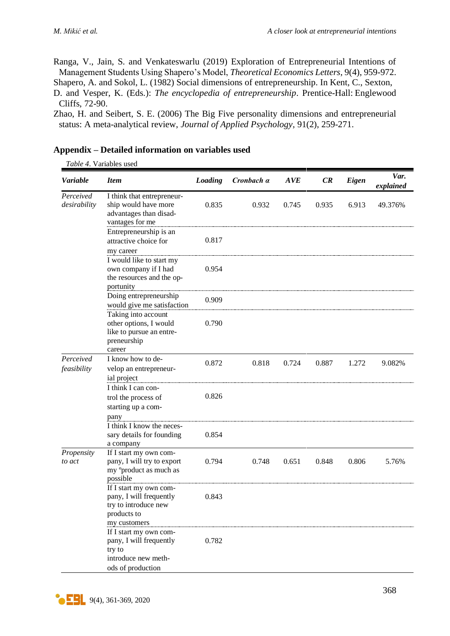Ranga, V., Jain, S. and Venkateswarlu (2019) Exploration of Entrepreneurial Intentions of Management Students Using Shapero's Model, *Theoretical Economics Letters*, 9(4), 959-972.

Shapero, A. and Sokol, L. (1982) Social dimensions of entrepreneurship. In Kent, C., Sexton,

D. and Vesper, K. (Eds.): *The encyclopedia of entrepreneurship*. Prentice-Hall: Englewood Cliffs, 72-90.

Zhao, H. and Seibert, S. E. (2006) The Big Five personality dimensions and entrepreneurial status: A meta-analytical review, *Journal of Applied Psychology*, 91(2), 259-271.

| Variable                  | <b>Item</b>                                                                                              | Loading | Cronbach a | AVE   | CR    | Eigen | Var.<br>explained |
|---------------------------|----------------------------------------------------------------------------------------------------------|---------|------------|-------|-------|-------|-------------------|
| Perceived<br>desirability | I think that entrepreneur-<br>ship would have more<br>advantages than disad-<br>vantages for me          | 0.835   | 0.932      | 0.745 | 0.935 | 6.913 | 49.376%           |
|                           | Entrepreneurship is an<br>attractive choice for<br>my career                                             | 0.817   |            |       |       |       |                   |
|                           | I would like to start my<br>own company if I had<br>the resources and the op-<br>portunity               | 0.954   |            |       |       |       |                   |
|                           | Doing entrepreneurship<br>would give me satisfaction                                                     | 0.909   |            |       |       |       |                   |
|                           | Taking into account<br>other options, I would<br>like to pursue an entre-<br>preneurship<br>career       | 0.790   |            |       |       |       |                   |
| Perceived<br>feasibility  | I know how to de-<br>velop an entrepreneur-<br>ial project                                               | 0.872   | 0.818      | 0.724 | 0.887 | 1.272 | 9.082%            |
|                           | I think I can con-<br>trol the process of<br>starting up a com-<br>pany                                  | 0.826   |            |       |       |       |                   |
|                           | I think I know the neces-<br>sary details for founding<br>a company                                      | 0.854   |            |       |       |       |                   |
| Propensity<br>to act      | If I start my own com-<br>pany, I will try to export<br>my <sup>o</sup> product as much as<br>possible   | 0.794   | 0.748      | 0.651 | 0.848 | 0.806 | 5.76%             |
|                           | If I start my own com-<br>pany, I will frequently<br>try to introduce new<br>products to<br>my customers | 0.843   |            |       |       |       |                   |
|                           | If I start my own com-<br>pany, I will frequently<br>try to<br>introduce new meth-<br>ods of production  | 0.782   |            |       |       |       |                   |

## **Appendix – Detailed information on variables used**